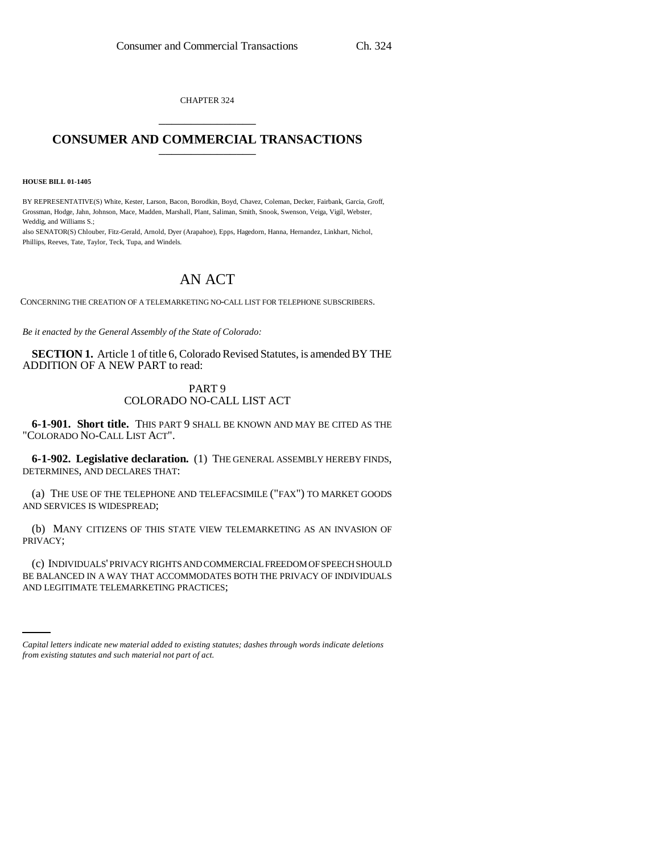CHAPTER 324 \_\_\_\_\_\_\_\_\_\_\_\_\_\_\_

## **CONSUMER AND COMMERCIAL TRANSACTIONS** \_\_\_\_\_\_\_\_\_\_\_\_\_\_\_

## **HOUSE BILL 01-1405**

BY REPRESENTATIVE(S) White, Kester, Larson, Bacon, Borodkin, Boyd, Chavez, Coleman, Decker, Fairbank, Garcia, Groff, Grossman, Hodge, Jahn, Johnson, Mace, Madden, Marshall, Plant, Saliman, Smith, Snook, Swenson, Veiga, Vigil, Webster, Weddig, and Williams S.;

also SENATOR(S) Chlouber, Fitz-Gerald, Arnold, Dyer (Arapahoe), Epps, Hagedorn, Hanna, Hernandez, Linkhart, Nichol, Phillips, Reeves, Tate, Taylor, Teck, Tupa, and Windels.

## AN ACT

CONCERNING THE CREATION OF A TELEMARKETING NO-CALL LIST FOR TELEPHONE SUBSCRIBERS.

*Be it enacted by the General Assembly of the State of Colorado:*

**SECTION 1.** Article 1 of title 6, Colorado Revised Statutes, is amended BY THE ADDITION OF A NEW PART to read:

## PART 9 COLORADO NO-CALL LIST ACT

**6-1-901. Short title.** THIS PART 9 SHALL BE KNOWN AND MAY BE CITED AS THE "COLORADO NO-CALL LIST ACT".

**6-1-902. Legislative declaration.** (1) THE GENERAL ASSEMBLY HEREBY FINDS, DETERMINES, AND DECLARES THAT:

(a) THE USE OF THE TELEPHONE AND TELEFACSIMILE ("FAX") TO MARKET GOODS AND SERVICES IS WIDESPREAD;

(b) MANY CITIZENS OF THIS STATE VIEW TELEMARKETING AS AN INVASION OF PRIVACY;

BE BALANCED IN A WAY THAT ACCOMMODATES BOTH THE PRIVACY OF INDIVIDUALS (c) INDIVIDUALS' PRIVACY RIGHTS AND COMMERCIAL FREEDOM OF SPEECH SHOULD AND LEGITIMATE TELEMARKETING PRACTICES;

*Capital letters indicate new material added to existing statutes; dashes through words indicate deletions from existing statutes and such material not part of act.*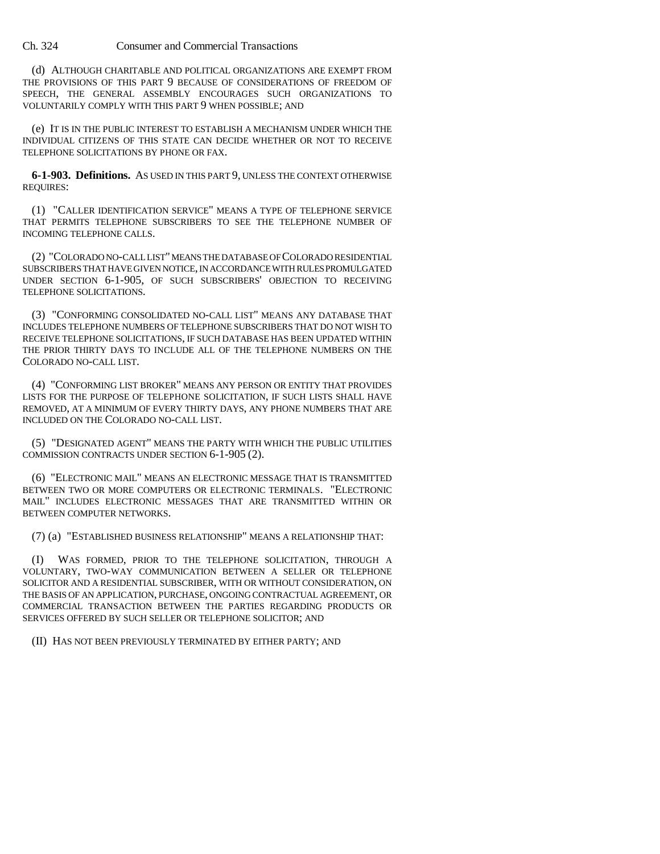Ch. 324 Consumer and Commercial Transactions

(d) ALTHOUGH CHARITABLE AND POLITICAL ORGANIZATIONS ARE EXEMPT FROM THE PROVISIONS OF THIS PART 9 BECAUSE OF CONSIDERATIONS OF FREEDOM OF SPEECH, THE GENERAL ASSEMBLY ENCOURAGES SUCH ORGANIZATIONS TO VOLUNTARILY COMPLY WITH THIS PART 9 WHEN POSSIBLE; AND

(e) IT IS IN THE PUBLIC INTEREST TO ESTABLISH A MECHANISM UNDER WHICH THE INDIVIDUAL CITIZENS OF THIS STATE CAN DECIDE WHETHER OR NOT TO RECEIVE TELEPHONE SOLICITATIONS BY PHONE OR FAX.

**6-1-903. Definitions.** AS USED IN THIS PART 9, UNLESS THE CONTEXT OTHERWISE REQUIRES:

(1) "CALLER IDENTIFICATION SERVICE" MEANS A TYPE OF TELEPHONE SERVICE THAT PERMITS TELEPHONE SUBSCRIBERS TO SEE THE TELEPHONE NUMBER OF INCOMING TELEPHONE CALLS.

(2) "COLORADO NO-CALL LIST" MEANS THE DATABASE OF COLORADO RESIDENTIAL SUBSCRIBERS THAT HAVE GIVEN NOTICE, IN ACCORDANCE WITH RULES PROMULGATED UNDER SECTION 6-1-905, OF SUCH SUBSCRIBERS' OBJECTION TO RECEIVING TELEPHONE SOLICITATIONS.

(3) "CONFORMING CONSOLIDATED NO-CALL LIST" MEANS ANY DATABASE THAT INCLUDES TELEPHONE NUMBERS OF TELEPHONE SUBSCRIBERS THAT DO NOT WISH TO RECEIVE TELEPHONE SOLICITATIONS, IF SUCH DATABASE HAS BEEN UPDATED WITHIN THE PRIOR THIRTY DAYS TO INCLUDE ALL OF THE TELEPHONE NUMBERS ON THE COLORADO NO-CALL LIST.

(4) "CONFORMING LIST BROKER" MEANS ANY PERSON OR ENTITY THAT PROVIDES LISTS FOR THE PURPOSE OF TELEPHONE SOLICITATION, IF SUCH LISTS SHALL HAVE REMOVED, AT A MINIMUM OF EVERY THIRTY DAYS, ANY PHONE NUMBERS THAT ARE INCLUDED ON THE COLORADO NO-CALL LIST.

(5) "DESIGNATED AGENT" MEANS THE PARTY WITH WHICH THE PUBLIC UTILITIES COMMISSION CONTRACTS UNDER SECTION 6-1-905 (2).

(6) "ELECTRONIC MAIL" MEANS AN ELECTRONIC MESSAGE THAT IS TRANSMITTED BETWEEN TWO OR MORE COMPUTERS OR ELECTRONIC TERMINALS. "ELECTRONIC MAIL" INCLUDES ELECTRONIC MESSAGES THAT ARE TRANSMITTED WITHIN OR BETWEEN COMPUTER NETWORKS.

(7) (a) "ESTABLISHED BUSINESS RELATIONSHIP" MEANS A RELATIONSHIP THAT:

(I) WAS FORMED, PRIOR TO THE TELEPHONE SOLICITATION, THROUGH A VOLUNTARY, TWO-WAY COMMUNICATION BETWEEN A SELLER OR TELEPHONE SOLICITOR AND A RESIDENTIAL SUBSCRIBER, WITH OR WITHOUT CONSIDERATION, ON THE BASIS OF AN APPLICATION, PURCHASE, ONGOING CONTRACTUAL AGREEMENT, OR COMMERCIAL TRANSACTION BETWEEN THE PARTIES REGARDING PRODUCTS OR SERVICES OFFERED BY SUCH SELLER OR TELEPHONE SOLICITOR; AND

(II) HAS NOT BEEN PREVIOUSLY TERMINATED BY EITHER PARTY; AND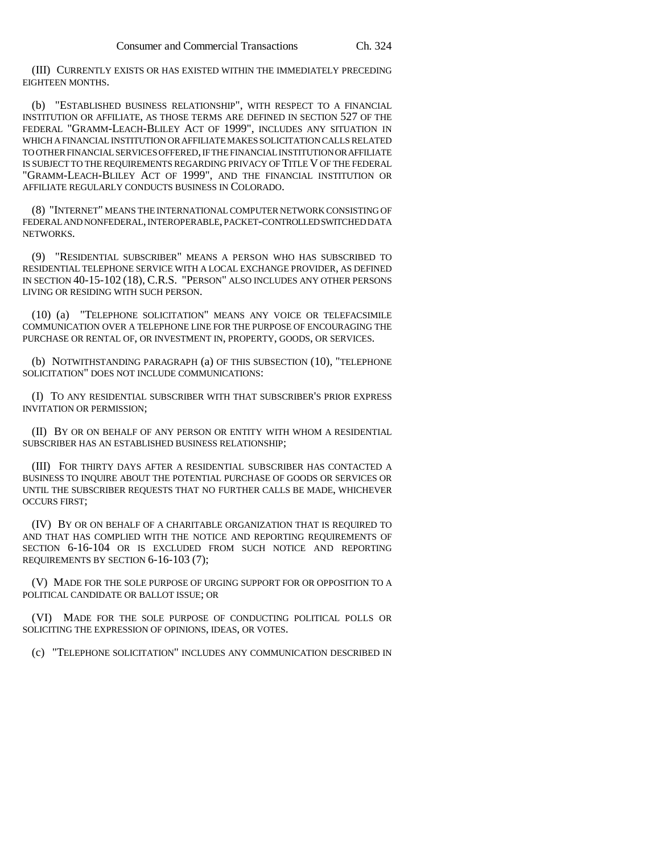(III) CURRENTLY EXISTS OR HAS EXISTED WITHIN THE IMMEDIATELY PRECEDING EIGHTEEN MONTHS.

(b) "ESTABLISHED BUSINESS RELATIONSHIP", WITH RESPECT TO A FINANCIAL INSTITUTION OR AFFILIATE, AS THOSE TERMS ARE DEFINED IN SECTION 527 OF THE FEDERAL "GRAMM-LEACH-BLILEY ACT OF 1999", INCLUDES ANY SITUATION IN WHICH A FINANCIAL INSTITUTION OR AFFILIATE MAKES SOLICITATION CALLS RELATED TO OTHER FINANCIAL SERVICES OFFERED, IF THE FINANCIAL INSTITUTION OR AFFILIATE IS SUBJECT TO THE REQUIREMENTS REGARDING PRIVACY OF TITLE V OF THE FEDERAL "GRAMM-LEACH-BLILEY ACT OF 1999", AND THE FINANCIAL INSTITUTION OR AFFILIATE REGULARLY CONDUCTS BUSINESS IN COLORADO.

(8) "INTERNET" MEANS THE INTERNATIONAL COMPUTER NETWORK CONSISTING OF FEDERAL AND NONFEDERAL, INTEROPERABLE, PACKET-CONTROLLED SWITCHED DATA NETWORKS.

(9) "RESIDENTIAL SUBSCRIBER" MEANS A PERSON WHO HAS SUBSCRIBED TO RESIDENTIAL TELEPHONE SERVICE WITH A LOCAL EXCHANGE PROVIDER, AS DEFINED IN SECTION 40-15-102 (18), C.R.S. "PERSON" ALSO INCLUDES ANY OTHER PERSONS LIVING OR RESIDING WITH SUCH PERSON.

(10) (a) "TELEPHONE SOLICITATION" MEANS ANY VOICE OR TELEFACSIMILE COMMUNICATION OVER A TELEPHONE LINE FOR THE PURPOSE OF ENCOURAGING THE PURCHASE OR RENTAL OF, OR INVESTMENT IN, PROPERTY, GOODS, OR SERVICES.

(b) NOTWITHSTANDING PARAGRAPH (a) OF THIS SUBSECTION (10), "TELEPHONE SOLICITATION" DOES NOT INCLUDE COMMUNICATIONS:

(I) TO ANY RESIDENTIAL SUBSCRIBER WITH THAT SUBSCRIBER'S PRIOR EXPRESS INVITATION OR PERMISSION;

(II) BY OR ON BEHALF OF ANY PERSON OR ENTITY WITH WHOM A RESIDENTIAL SUBSCRIBER HAS AN ESTABLISHED BUSINESS RELATIONSHIP;

(III) FOR THIRTY DAYS AFTER A RESIDENTIAL SUBSCRIBER HAS CONTACTED A BUSINESS TO INQUIRE ABOUT THE POTENTIAL PURCHASE OF GOODS OR SERVICES OR UNTIL THE SUBSCRIBER REQUESTS THAT NO FURTHER CALLS BE MADE, WHICHEVER OCCURS FIRST;

(IV) BY OR ON BEHALF OF A CHARITABLE ORGANIZATION THAT IS REQUIRED TO AND THAT HAS COMPLIED WITH THE NOTICE AND REPORTING REQUIREMENTS OF SECTION 6-16-104 OR IS EXCLUDED FROM SUCH NOTICE AND REPORTING REQUIREMENTS BY SECTION 6-16-103 (7);

(V) MADE FOR THE SOLE PURPOSE OF URGING SUPPORT FOR OR OPPOSITION TO A POLITICAL CANDIDATE OR BALLOT ISSUE; OR

(VI) MADE FOR THE SOLE PURPOSE OF CONDUCTING POLITICAL POLLS OR SOLICITING THE EXPRESSION OF OPINIONS, IDEAS, OR VOTES.

(c) "TELEPHONE SOLICITATION" INCLUDES ANY COMMUNICATION DESCRIBED IN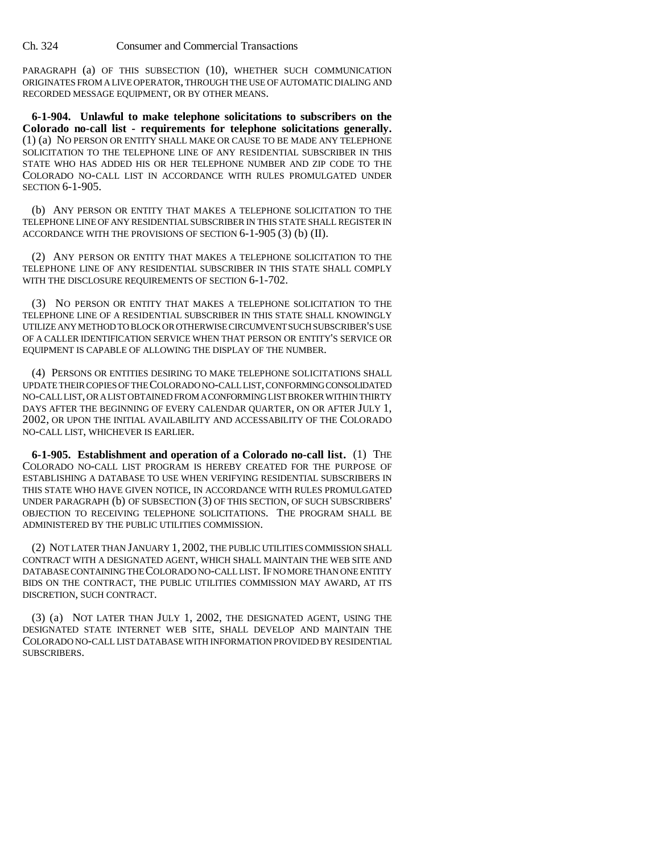Ch. 324 Consumer and Commercial Transactions

PARAGRAPH (a) OF THIS SUBSECTION (10), WHETHER SUCH COMMUNICATION ORIGINATES FROM A LIVE OPERATOR, THROUGH THE USE OF AUTOMATIC DIALING AND RECORDED MESSAGE EQUIPMENT, OR BY OTHER MEANS.

**6-1-904. Unlawful to make telephone solicitations to subscribers on the Colorado no-call list - requirements for telephone solicitations generally.** (1) (a) NO PERSON OR ENTITY SHALL MAKE OR CAUSE TO BE MADE ANY TELEPHONE SOLICITATION TO THE TELEPHONE LINE OF ANY RESIDENTIAL SUBSCRIBER IN THIS STATE WHO HAS ADDED HIS OR HER TELEPHONE NUMBER AND ZIP CODE TO THE COLORADO NO-CALL LIST IN ACCORDANCE WITH RULES PROMULGATED UNDER SECTION 6-1-905.

(b) ANY PERSON OR ENTITY THAT MAKES A TELEPHONE SOLICITATION TO THE TELEPHONE LINE OF ANY RESIDENTIAL SUBSCRIBER IN THIS STATE SHALL REGISTER IN ACCORDANCE WITH THE PROVISIONS OF SECTION 6-1-905 (3) (b) (II).

(2) ANY PERSON OR ENTITY THAT MAKES A TELEPHONE SOLICITATION TO THE TELEPHONE LINE OF ANY RESIDENTIAL SUBSCRIBER IN THIS STATE SHALL COMPLY WITH THE DISCLOSURE REQUIREMENTS OF SECTION 6-1-702.

(3) NO PERSON OR ENTITY THAT MAKES A TELEPHONE SOLICITATION TO THE TELEPHONE LINE OF A RESIDENTIAL SUBSCRIBER IN THIS STATE SHALL KNOWINGLY UTILIZE ANY METHOD TO BLOCK OR OTHERWISE CIRCUMVENT SUCH SUBSCRIBER'S USE OF A CALLER IDENTIFICATION SERVICE WHEN THAT PERSON OR ENTITY'S SERVICE OR EQUIPMENT IS CAPABLE OF ALLOWING THE DISPLAY OF THE NUMBER.

(4) PERSONS OR ENTITIES DESIRING TO MAKE TELEPHONE SOLICITATIONS SHALL UPDATE THEIR COPIES OF THE COLORADO NO-CALL LIST, CONFORMING CONSOLIDATED NO-CALL LIST, OR A LIST OBTAINED FROM A CONFORMING LIST BROKER WITHIN THIRTY DAYS AFTER THE BEGINNING OF EVERY CALENDAR QUARTER, ON OR AFTER JULY 1, 2002, OR UPON THE INITIAL AVAILABILITY AND ACCESSABILITY OF THE COLORADO NO-CALL LIST, WHICHEVER IS EARLIER.

**6-1-905. Establishment and operation of a Colorado no-call list.** (1) THE COLORADO NO-CALL LIST PROGRAM IS HEREBY CREATED FOR THE PURPOSE OF ESTABLISHING A DATABASE TO USE WHEN VERIFYING RESIDENTIAL SUBSCRIBERS IN THIS STATE WHO HAVE GIVEN NOTICE, IN ACCORDANCE WITH RULES PROMULGATED UNDER PARAGRAPH (b) OF SUBSECTION (3) OF THIS SECTION, OF SUCH SUBSCRIBERS' OBJECTION TO RECEIVING TELEPHONE SOLICITATIONS. THE PROGRAM SHALL BE ADMINISTERED BY THE PUBLIC UTILITIES COMMISSION.

(2) NOT LATER THAN JANUARY 1, 2002, THE PUBLIC UTILITIES COMMISSION SHALL CONTRACT WITH A DESIGNATED AGENT, WHICH SHALL MAINTAIN THE WEB SITE AND DATABASE CONTAINING THE COLORADO NO-CALL LIST. IF NO MORE THAN ONE ENTITY BIDS ON THE CONTRACT, THE PUBLIC UTILITIES COMMISSION MAY AWARD, AT ITS DISCRETION, SUCH CONTRACT.

(3) (a) NOT LATER THAN JULY 1, 2002, THE DESIGNATED AGENT, USING THE DESIGNATED STATE INTERNET WEB SITE, SHALL DEVELOP AND MAINTAIN THE COLORADO NO-CALL LIST DATABASE WITH INFORMATION PROVIDED BY RESIDENTIAL SUBSCRIBERS.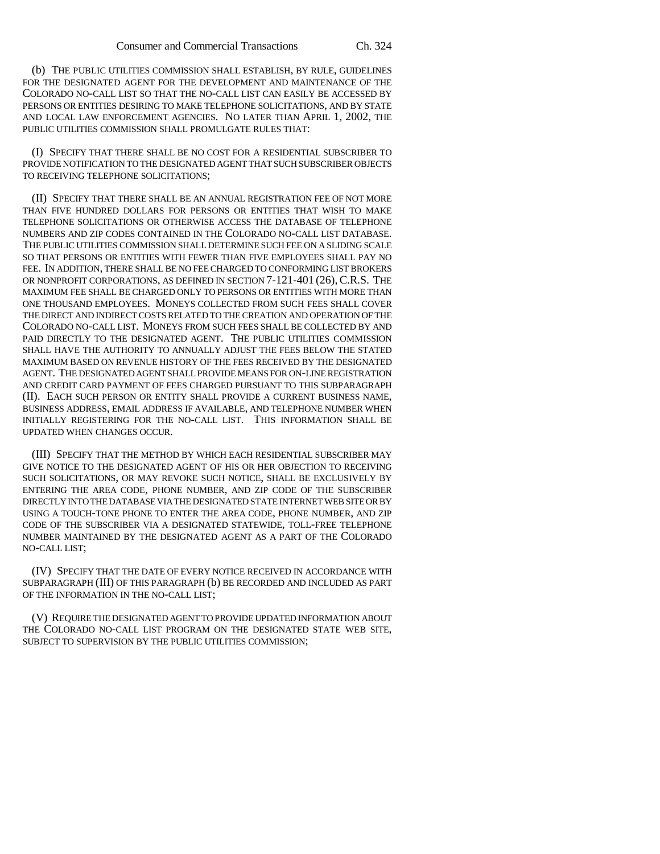(b) THE PUBLIC UTILITIES COMMISSION SHALL ESTABLISH, BY RULE, GUIDELINES FOR THE DESIGNATED AGENT FOR THE DEVELOPMENT AND MAINTENANCE OF THE COLORADO NO-CALL LIST SO THAT THE NO-CALL LIST CAN EASILY BE ACCESSED BY PERSONS OR ENTITIES DESIRING TO MAKE TELEPHONE SOLICITATIONS, AND BY STATE AND LOCAL LAW ENFORCEMENT AGENCIES. NO LATER THAN APRIL 1, 2002, THE PUBLIC UTILITIES COMMISSION SHALL PROMULGATE RULES THAT:

(I) SPECIFY THAT THERE SHALL BE NO COST FOR A RESIDENTIAL SUBSCRIBER TO PROVIDE NOTIFICATION TO THE DESIGNATED AGENT THAT SUCH SUBSCRIBER OBJECTS TO RECEIVING TELEPHONE SOLICITATIONS;

(II) SPECIFY THAT THERE SHALL BE AN ANNUAL REGISTRATION FEE OF NOT MORE THAN FIVE HUNDRED DOLLARS FOR PERSONS OR ENTITIES THAT WISH TO MAKE TELEPHONE SOLICITATIONS OR OTHERWISE ACCESS THE DATABASE OF TELEPHONE NUMBERS AND ZIP CODES CONTAINED IN THE COLORADO NO-CALL LIST DATABASE. THE PUBLIC UTILITIES COMMISSION SHALL DETERMINE SUCH FEE ON A SLIDING SCALE SO THAT PERSONS OR ENTITIES WITH FEWER THAN FIVE EMPLOYEES SHALL PAY NO FEE. IN ADDITION, THERE SHALL BE NO FEE CHARGED TO CONFORMING LIST BROKERS OR NONPROFIT CORPORATIONS, AS DEFINED IN SECTION 7-121-401 (26), C.R.S. THE MAXIMUM FEE SHALL BE CHARGED ONLY TO PERSONS OR ENTITIES WITH MORE THAN ONE THOUSAND EMPLOYEES. MONEYS COLLECTED FROM SUCH FEES SHALL COVER THE DIRECT AND INDIRECT COSTS RELATED TO THE CREATION AND OPERATION OF THE COLORADO NO-CALL LIST. MONEYS FROM SUCH FEES SHALL BE COLLECTED BY AND PAID DIRECTLY TO THE DESIGNATED AGENT. THE PUBLIC UTILITIES COMMISSION SHALL HAVE THE AUTHORITY TO ANNUALLY ADJUST THE FEES BELOW THE STATED MAXIMUM BASED ON REVENUE HISTORY OF THE FEES RECEIVED BY THE DESIGNATED AGENT. THE DESIGNATED AGENT SHALL PROVIDE MEANS FOR ON-LINE REGISTRATION AND CREDIT CARD PAYMENT OF FEES CHARGED PURSUANT TO THIS SUBPARAGRAPH (II). EACH SUCH PERSON OR ENTITY SHALL PROVIDE A CURRENT BUSINESS NAME, BUSINESS ADDRESS, EMAIL ADDRESS IF AVAILABLE, AND TELEPHONE NUMBER WHEN INITIALLY REGISTERING FOR THE NO-CALL LIST. THIS INFORMATION SHALL BE UPDATED WHEN CHANGES OCCUR.

(III) SPECIFY THAT THE METHOD BY WHICH EACH RESIDENTIAL SUBSCRIBER MAY GIVE NOTICE TO THE DESIGNATED AGENT OF HIS OR HER OBJECTION TO RECEIVING SUCH SOLICITATIONS, OR MAY REVOKE SUCH NOTICE, SHALL BE EXCLUSIVELY BY ENTERING THE AREA CODE, PHONE NUMBER, AND ZIP CODE OF THE SUBSCRIBER DIRECTLY INTO THE DATABASE VIA THE DESIGNATED STATE INTERNET WEB SITE OR BY USING A TOUCH-TONE PHONE TO ENTER THE AREA CODE, PHONE NUMBER, AND ZIP CODE OF THE SUBSCRIBER VIA A DESIGNATED STATEWIDE, TOLL-FREE TELEPHONE NUMBER MAINTAINED BY THE DESIGNATED AGENT AS A PART OF THE COLORADO NO-CALL LIST;

(IV) SPECIFY THAT THE DATE OF EVERY NOTICE RECEIVED IN ACCORDANCE WITH SUBPARAGRAPH (III) OF THIS PARAGRAPH (b) BE RECORDED AND INCLUDED AS PART OF THE INFORMATION IN THE NO-CALL LIST;

(V) REQUIRE THE DESIGNATED AGENT TO PROVIDE UPDATED INFORMATION ABOUT THE COLORADO NO-CALL LIST PROGRAM ON THE DESIGNATED STATE WEB SITE, SUBJECT TO SUPERVISION BY THE PUBLIC UTILITIES COMMISSION;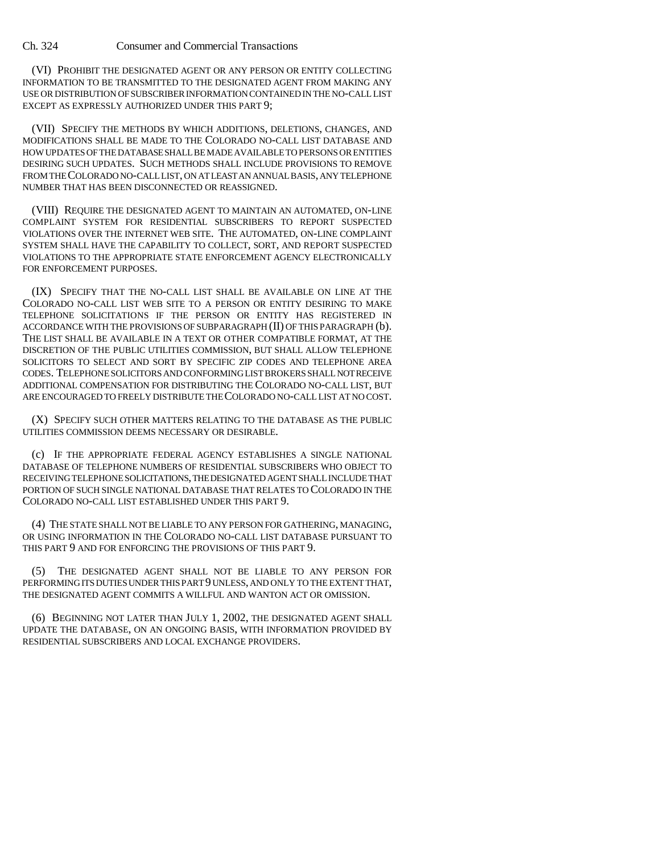(VI) PROHIBIT THE DESIGNATED AGENT OR ANY PERSON OR ENTITY COLLECTING INFORMATION TO BE TRANSMITTED TO THE DESIGNATED AGENT FROM MAKING ANY USE OR DISTRIBUTION OF SUBSCRIBER INFORMATION CONTAINED IN THE NO-CALL LIST EXCEPT AS EXPRESSLY AUTHORIZED UNDER THIS PART 9;

(VII) SPECIFY THE METHODS BY WHICH ADDITIONS, DELETIONS, CHANGES, AND MODIFICATIONS SHALL BE MADE TO THE COLORADO NO-CALL LIST DATABASE AND HOW UPDATES OF THE DATABASE SHALL BE MADE AVAILABLE TO PERSONS OR ENTITIES DESIRING SUCH UPDATES. SUCH METHODS SHALL INCLUDE PROVISIONS TO REMOVE FROM THE COLORADO NO-CALL LIST, ON AT LEAST AN ANNUAL BASIS, ANY TELEPHONE NUMBER THAT HAS BEEN DISCONNECTED OR REASSIGNED.

(VIII) REQUIRE THE DESIGNATED AGENT TO MAINTAIN AN AUTOMATED, ON-LINE COMPLAINT SYSTEM FOR RESIDENTIAL SUBSCRIBERS TO REPORT SUSPECTED VIOLATIONS OVER THE INTERNET WEB SITE. THE AUTOMATED, ON-LINE COMPLAINT SYSTEM SHALL HAVE THE CAPABILITY TO COLLECT, SORT, AND REPORT SUSPECTED VIOLATIONS TO THE APPROPRIATE STATE ENFORCEMENT AGENCY ELECTRONICALLY FOR ENFORCEMENT PURPOSES.

(IX) SPECIFY THAT THE NO-CALL LIST SHALL BE AVAILABLE ON LINE AT THE COLORADO NO-CALL LIST WEB SITE TO A PERSON OR ENTITY DESIRING TO MAKE TELEPHONE SOLICITATIONS IF THE PERSON OR ENTITY HAS REGISTERED IN ACCORDANCE WITH THE PROVISIONS OF SUBPARAGRAPH (II) OF THIS PARAGRAPH (b). THE LIST SHALL BE AVAILABLE IN A TEXT OR OTHER COMPATIBLE FORMAT, AT THE DISCRETION OF THE PUBLIC UTILITIES COMMISSION, BUT SHALL ALLOW TELEPHONE SOLICITORS TO SELECT AND SORT BY SPECIFIC ZIP CODES AND TELEPHONE AREA CODES. TELEPHONE SOLICITORS AND CONFORMING LIST BROKERS SHALL NOT RECEIVE ADDITIONAL COMPENSATION FOR DISTRIBUTING THE COLORADO NO-CALL LIST, BUT ARE ENCOURAGED TO FREELY DISTRIBUTE THE COLORADO NO-CALL LIST AT NO COST.

(X) SPECIFY SUCH OTHER MATTERS RELATING TO THE DATABASE AS THE PUBLIC UTILITIES COMMISSION DEEMS NECESSARY OR DESIRABLE.

(c) IF THE APPROPRIATE FEDERAL AGENCY ESTABLISHES A SINGLE NATIONAL DATABASE OF TELEPHONE NUMBERS OF RESIDENTIAL SUBSCRIBERS WHO OBJECT TO RECEIVING TELEPHONE SOLICITATIONS, THE DESIGNATED AGENT SHALL INCLUDE THAT PORTION OF SUCH SINGLE NATIONAL DATABASE THAT RELATES TO COLORADO IN THE COLORADO NO-CALL LIST ESTABLISHED UNDER THIS PART 9.

(4) THE STATE SHALL NOT BE LIABLE TO ANY PERSON FOR GATHERING, MANAGING, OR USING INFORMATION IN THE COLORADO NO-CALL LIST DATABASE PURSUANT TO THIS PART 9 AND FOR ENFORCING THE PROVISIONS OF THIS PART 9.

THE DESIGNATED AGENT SHALL NOT BE LIABLE TO ANY PERSON FOR PERFORMING ITS DUTIES UNDER THIS PART 9 UNLESS, AND ONLY TO THE EXTENT THAT, THE DESIGNATED AGENT COMMITS A WILLFUL AND WANTON ACT OR OMISSION.

(6) BEGINNING NOT LATER THAN JULY 1, 2002, THE DESIGNATED AGENT SHALL UPDATE THE DATABASE, ON AN ONGOING BASIS, WITH INFORMATION PROVIDED BY RESIDENTIAL SUBSCRIBERS AND LOCAL EXCHANGE PROVIDERS.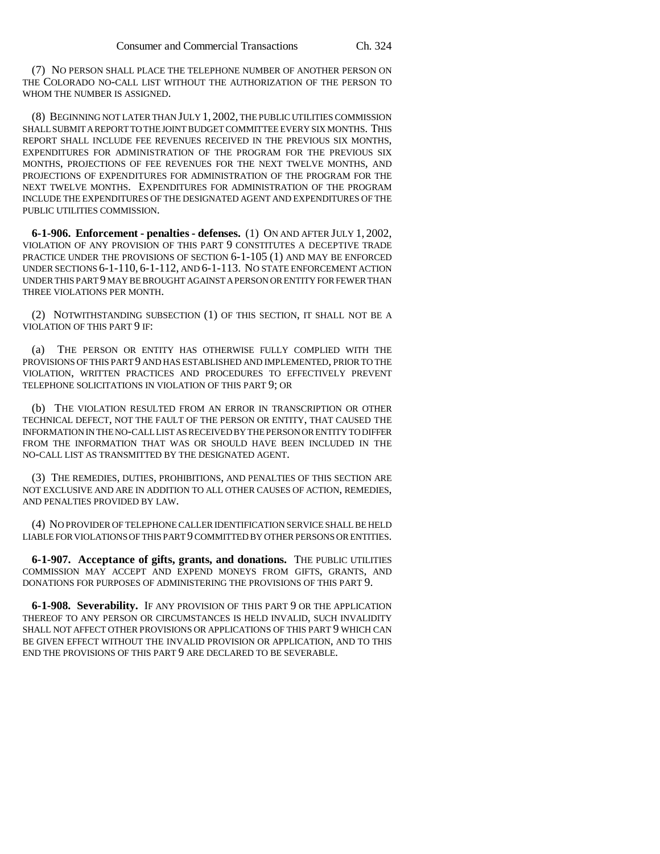(7) NO PERSON SHALL PLACE THE TELEPHONE NUMBER OF ANOTHER PERSON ON THE COLORADO NO-CALL LIST WITHOUT THE AUTHORIZATION OF THE PERSON TO WHOM THE NUMBER IS ASSIGNED.

(8) BEGINNING NOT LATER THAN JULY 1, 2002, THE PUBLIC UTILITIES COMMISSION SHALL SUBMIT A REPORT TO THE JOINT BUDGET COMMITTEE EVERY SIX MONTHS. THIS REPORT SHALL INCLUDE FEE REVENUES RECEIVED IN THE PREVIOUS SIX MONTHS, EXPENDITURES FOR ADMINISTRATION OF THE PROGRAM FOR THE PREVIOUS SIX MONTHS, PROJECTIONS OF FEE REVENUES FOR THE NEXT TWELVE MONTHS, AND PROJECTIONS OF EXPENDITURES FOR ADMINISTRATION OF THE PROGRAM FOR THE NEXT TWELVE MONTHS. EXPENDITURES FOR ADMINISTRATION OF THE PROGRAM INCLUDE THE EXPENDITURES OF THE DESIGNATED AGENT AND EXPENDITURES OF THE PUBLIC UTILITIES COMMISSION.

**6-1-906. Enforcement - penalties - defenses.** (1) ON AND AFTER JULY 1, 2002, VIOLATION OF ANY PROVISION OF THIS PART 9 CONSTITUTES A DECEPTIVE TRADE PRACTICE UNDER THE PROVISIONS OF SECTION 6-1-105 (1) AND MAY BE ENFORCED UNDER SECTIONS 6-1-110, 6-1-112, AND 6-1-113. NO STATE ENFORCEMENT ACTION UNDER THIS PART 9 MAY BE BROUGHT AGAINST A PERSON OR ENTITY FOR FEWER THAN THREE VIOLATIONS PER MONTH.

(2) NOTWITHSTANDING SUBSECTION (1) OF THIS SECTION, IT SHALL NOT BE A VIOLATION OF THIS PART 9 IF:

(a) THE PERSON OR ENTITY HAS OTHERWISE FULLY COMPLIED WITH THE PROVISIONS OF THIS PART 9 AND HAS ESTABLISHED AND IMPLEMENTED, PRIOR TO THE VIOLATION, WRITTEN PRACTICES AND PROCEDURES TO EFFECTIVELY PREVENT TELEPHONE SOLICITATIONS IN VIOLATION OF THIS PART 9; OR

(b) THE VIOLATION RESULTED FROM AN ERROR IN TRANSCRIPTION OR OTHER TECHNICAL DEFECT, NOT THE FAULT OF THE PERSON OR ENTITY, THAT CAUSED THE INFORMATION IN THE NO-CALL LIST AS RECEIVED BY THE PERSON OR ENTITY TO DIFFER FROM THE INFORMATION THAT WAS OR SHOULD HAVE BEEN INCLUDED IN THE NO-CALL LIST AS TRANSMITTED BY THE DESIGNATED AGENT.

(3) THE REMEDIES, DUTIES, PROHIBITIONS, AND PENALTIES OF THIS SECTION ARE NOT EXCLUSIVE AND ARE IN ADDITION TO ALL OTHER CAUSES OF ACTION, REMEDIES, AND PENALTIES PROVIDED BY LAW.

(4) NO PROVIDER OF TELEPHONE CALLER IDENTIFICATION SERVICE SHALL BE HELD LIABLE FOR VIOLATIONS OF THIS PART 9 COMMITTED BY OTHER PERSONS OR ENTITIES.

**6-1-907. Acceptance of gifts, grants, and donations.** THE PUBLIC UTILITIES COMMISSION MAY ACCEPT AND EXPEND MONEYS FROM GIFTS, GRANTS, AND DONATIONS FOR PURPOSES OF ADMINISTERING THE PROVISIONS OF THIS PART 9.

**6-1-908. Severability.** IF ANY PROVISION OF THIS PART 9 OR THE APPLICATION THEREOF TO ANY PERSON OR CIRCUMSTANCES IS HELD INVALID, SUCH INVALIDITY SHALL NOT AFFECT OTHER PROVISIONS OR APPLICATIONS OF THIS PART 9 WHICH CAN BE GIVEN EFFECT WITHOUT THE INVALID PROVISION OR APPLICATION, AND TO THIS END THE PROVISIONS OF THIS PART 9 ARE DECLARED TO BE SEVERABLE.